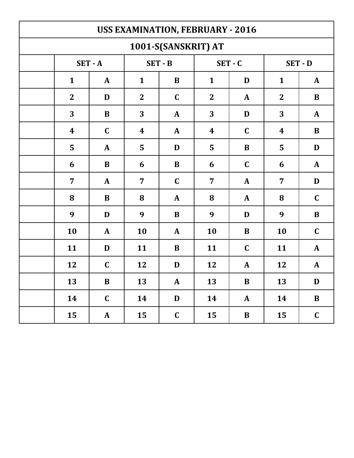| <b>USS EXAMINATION, FEBRUARY - 2016</b> |                  |              |                  |              |                  |              |                  |              |  |  |
|-----------------------------------------|------------------|--------------|------------------|--------------|------------------|--------------|------------------|--------------|--|--|
| 1001-S(SANSKRIT) AT                     |                  |              |                  |              |                  |              |                  |              |  |  |
|                                         | $SET - A$        |              | $SET - B$        |              | $SET - C$        |              | SET - D          |              |  |  |
|                                         | $\mathbf{1}$     | $\mathbf{A}$ | $\mathbf{1}$     | $\bf{B}$     | $\mathbf{1}$     | D            | $\mathbf{1}$     | $\mathbf{A}$ |  |  |
|                                         | $\mathbf{2}$     | D            | $\overline{2}$   | $\mathbf C$  | $\overline{2}$   | A            | $\mathbf{2}$     | B            |  |  |
|                                         | 3                | B            | 3                | $\mathbf{A}$ | 3                | D            | 3                | $\mathbf{A}$ |  |  |
|                                         | $\boldsymbol{4}$ | $\mathbf C$  | $\boldsymbol{4}$ | $\mathbf{A}$ | $\boldsymbol{4}$ | $\mathbf C$  | $\boldsymbol{4}$ | $\bf{B}$     |  |  |
|                                         | 5                | $\mathbf{A}$ | 5                | D            | 5                | $\bf{B}$     | 5                | D            |  |  |
|                                         | 6                | B            | 6                | $\bf{B}$     | 6                | $\mathbf C$  | 6                | $\mathbf{A}$ |  |  |
|                                         | $\overline{7}$   | $\mathbf{A}$ | $\overline{7}$   | $\mathbf C$  | $\overline{7}$   | A            | 7                | D            |  |  |
|                                         | 8                | B            | 8                | $\mathbf{A}$ | 8                | A            | 8                | $\mathbf C$  |  |  |
|                                         | 9                | D            | 9                | $\bf{B}$     | 9                | D            | 9                | $\bf{B}$     |  |  |
|                                         | 10               | $\mathbf{A}$ | 10               | $\mathbf{A}$ | 10               | B            | 10               | $\mathbf C$  |  |  |
|                                         | 11               | D            | 11               | $\bf{B}$     | 11               | $\mathbf C$  | 11               | $\mathbf{A}$ |  |  |
|                                         | 12               | $\mathbf C$  | 12               | D            | 12               | A            | 12               | $\mathbf{A}$ |  |  |
|                                         | <b>13</b>        | B            | <b>13</b>        | ${\bf A}$    | 13               | B            | 13               | D            |  |  |
|                                         | 14               | $\mathbf C$  | 14               | $\mathbf D$  | 14               | $\mathbf{A}$ | 14               | $\bf{B}$     |  |  |
|                                         | 15               | ${\bf A}$    | 15               | $\mathbf C$  | 15               | $\bf{B}$     | 15               | $\mathbf C$  |  |  |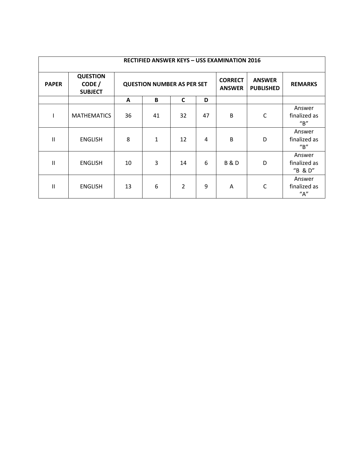| <b>RECTIFIED ANSWER KEYS - USS EXAMINATION 2016</b> |                                             |                                   |              |                |                                 |                                   |                |                                                |  |
|-----------------------------------------------------|---------------------------------------------|-----------------------------------|--------------|----------------|---------------------------------|-----------------------------------|----------------|------------------------------------------------|--|
| <b>PAPER</b>                                        | <b>QUESTION</b><br>CODE /<br><b>SUBJECT</b> | <b>QUESTION NUMBER AS PER SET</b> |              |                | <b>CORRECT</b><br><b>ANSWER</b> | <b>ANSWER</b><br><b>PUBLISHED</b> | <b>REMARKS</b> |                                                |  |
|                                                     |                                             | A                                 | B            | $\mathsf{C}$   | D                               |                                   |                |                                                |  |
|                                                     | <b>MATHEMATICS</b>                          | 36                                | 41           | 32             | 47                              | B                                 | $\mathsf{C}$   | Answer<br>finalized as<br>$^{\prime\prime}$ B" |  |
| Ш                                                   | <b>ENGLISH</b>                              | 8                                 | $\mathbf{1}$ | 12             | $\overline{a}$                  | B                                 | D              | Answer<br>finalized as<br>$^{\prime\prime}$ B" |  |
| $\mathsf{II}$                                       | <b>ENGLISH</b>                              | 10                                | 3            | 14             | 6                               | <b>B&amp;D</b>                    | D              | Answer<br>finalized as<br>"B & D"              |  |
| Ш                                                   | <b>ENGLISH</b>                              | 13                                | 6            | $\overline{2}$ | 9                               | A                                 | $\mathsf{C}$   | Answer<br>finalized as<br>"A"                  |  |